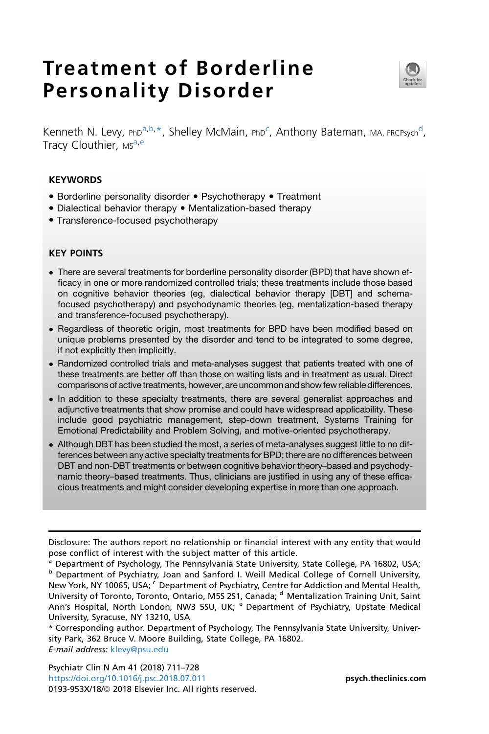# Treatment of Borderline Personality Disorder



Kenneth N. Levy, PhD<sup>a,b,\*</sup>, Shelley McMain, PhD<sup>c</sup>, Anthony Bateman, MA, ERCPsych<sup>d</sup>, Tracy Clouthier, Msa,e

# **KEYWORDS**

- Borderline personality disorder Psychotherapy Treatment
- Dialectical behavior therapy Mentalization-based therapy
- Transference-focused psychotherapy

## KEY POINTS

- There are several treatments for borderline personality disorder (BPD) that have shown efficacy in one or more randomized controlled trials; these treatments include those based on cognitive behavior theories (eg, dialectical behavior therapy [DBT] and schemafocused psychotherapy) and psychodynamic theories (eg, mentalization-based therapy and transference-focused psychotherapy).
- Regardless of theoretic origin, most treatments for BPD have been modified based on unique problems presented by the disorder and tend to be integrated to some degree, if not explicitly then implicitly.
- Randomized controlled trials and meta-analyses suggest that patients treated with one of these treatments are better off than those on waiting lists and in treatment as usual. Direct comparisons of active treatments, however, are uncommon and showfew reliable differences.
- In addition to these specialty treatments, there are several generalist approaches and adjunctive treatments that show promise and could have widespread applicability. These include good psychiatric management, step-down treatment, Systems Training for Emotional Predictability and Problem Solving, and motive-oriented psychotherapy.
- Although DBT has been studied the most, a series of meta-analyses suggest little to no differences between any active specialty treatments for BPD; there are no differences between DBT and non-DBT treatments or between cognitive behavior theory–based and psychodynamic theory–based treatments. Thus, clinicians are justified in using any of these efficacious treatments and might consider developing expertise in more than one approach.

Disclosure: The authors report no relationship or financial interest with any entity that would pose conflict of interest with the subject matter of this article.

<sup>a</sup> Department of Psychology, The Pennsylvania State University, State College, PA 16802, USA; **b** Department of Psychiatry, Joan and Sanford I. Weill Medical College of Cornell University, New York, NY 10065, USA; <sup>c</sup> Department of Psychiatry, Centre for Addiction and Mental Health, University of Toronto, Toronto, Ontario, M5S 2S1, Canada; <sup>d</sup> Mentalization Training Unit, Saint Ann's Hospital, North London, NW3 5SU, UK; <sup>e</sup> Department of Psychiatry, Upstate Medical University, Syracuse, NY 13210, USA

\* Corresponding author. Department of Psychology, The Pennsylvania State University, University Park, 362 Bruce V. Moore Building, State College, PA 16802. E-mail address: [klevy@psu.edu](mailto:klevy@psu.edu)

Psychiatr Clin N Am 41 (2018) 711–728 <https://doi.org/10.1016/j.psc.2018.07.011> **[psych.theclinics.com](http://psych.theclinics.com)** 0193-953X/18/@ 2018 Elsevier Inc. All rights reserved.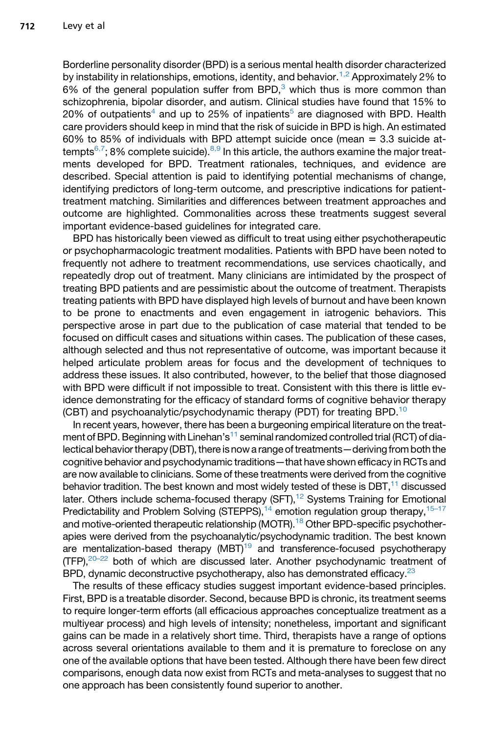Borderline personality disorder (BPD) is a serious mental health disorder characterized by instability in relationships, emotions, identity, and behavior.<sup>[1,2](#page-11-0)</sup> Approximately 2% to 6% of the general population suffer from BPD, $3$  which thus is more common than schizophrenia, bipolar disorder, and autism. Clinical studies have found that 15% to 20% of outpatients<sup>[4](#page-12-0)</sup> and up to 2[5](#page-12-0)% of inpatients<sup>5</sup> are diagnosed with BPD. Health care providers should keep in mind that the risk of suicide in BPD is high. An estimated 60% to 85% of individuals with BPD attempt suicide once (mean  $= 3.3$  suicide attempts $6.7$ ; 8% complete suicide). $8.9$  In this article, the authors examine the major treatments developed for BPD. Treatment rationales, techniques, and evidence are described. Special attention is paid to identifying potential mechanisms of change, identifying predictors of long-term outcome, and prescriptive indications for patienttreatment matching. Similarities and differences between treatment approaches and outcome are highlighted. Commonalities across these treatments suggest several important evidence-based guidelines for integrated care.

BPD has historically been viewed as difficult to treat using either psychotherapeutic or psychopharmacologic treatment modalities. Patients with BPD have been noted to frequently not adhere to treatment recommendations, use services chaotically, and repeatedly drop out of treatment. Many clinicians are intimidated by the prospect of treating BPD patients and are pessimistic about the outcome of treatment. Therapists treating patients with BPD have displayed high levels of burnout and have been known to be prone to enactments and even engagement in iatrogenic behaviors. This perspective arose in part due to the publication of case material that tended to be focused on difficult cases and situations within cases. The publication of these cases, although selected and thus not representative of outcome, was important because it helped articulate problem areas for focus and the development of techniques to address these issues. It also contributed, however, to the belief that those diagnosed with BPD were difficult if not impossible to treat. Consistent with this there is little evidence demonstrating for the efficacy of standard forms of cognitive behavior therapy (CBT) and psychoanalytic/psychodynamic therapy (PDT) for treating BPD.[10](#page-12-0)

In recent years, however, there has been a burgeoning empirical literature on the treatment of BPD. Beginning with Linehan's<sup>11</sup> seminal randomized controlled trial (RCT) of dialectical behavior therapy (DBT), there is now a range of treatments—derivingfrom both the cognitive behavior and psychodynamic traditions—that have shown efficacy in RCTs and are now available to clinicians. Some of these treatments were derived from the cognitive behavior tradition. The best known and most widely tested of these is  $DBT$ ,<sup>11</sup> discussed later. Others include schema-focused therapy (SFT),<sup>12</sup> Systems Training for Emotional Predictability and Problem Solving (STEPPS),  $14$  emotion regulation group therapy,  $15-17$ and motive-oriented therapeutic relationship (MOTR).[18](#page-12-0) Other BPD-specific psychotherapies were derived from the psychoanalytic/psychodynamic tradition. The best known are mentalization-based therapy  $(MBT)^{19}$  and transference-focused psychotherapy  $(TFP)$ ,  $20-22$  both of which are discussed later. Another psychodynamic treatment of BPD, dynamic deconstructive psychotherapy, also has demonstrated efficacy. $^{23}$  $^{23}$  $^{23}$ 

The results of these efficacy studies suggest important evidence-based principles. First, BPD is a treatable disorder. Second, because BPD is chronic, its treatment seems to require longer-term efforts (all efficacious approaches conceptualize treatment as a multiyear process) and high levels of intensity; nonetheless, important and significant gains can be made in a relatively short time. Third, therapists have a range of options across several orientations available to them and it is premature to foreclose on any one of the available options that have been tested. Although there have been few direct comparisons, enough data now exist from RCTs and meta-analyses to suggest that no one approach has been consistently found superior to another.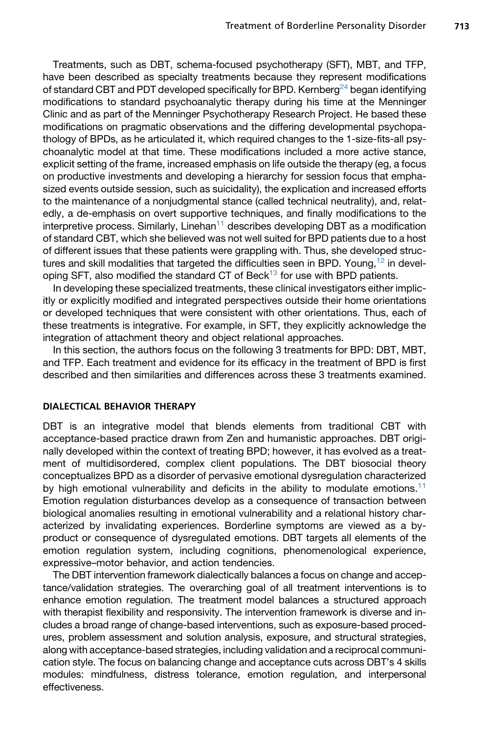Treatments, such as DBT, schema-focused psychotherapy (SFT), MBT, and TFP, have been described as specialty treatments because they represent modifications of standard CBT and PDT developed specifically for BPD. Kernberg<sup>24</sup> began identifying modifications to standard psychoanalytic therapy during his time at the Menninger Clinic and as part of the Menninger Psychotherapy Research Project. He based these modifications on pragmatic observations and the differing developmental psychopathology of BPDs, as he articulated it, which required changes to the 1-size-fits-all psychoanalytic model at that time. These modifications included a more active stance, explicit setting of the frame, increased emphasis on life outside the therapy (eg, a focus on productive investments and developing a hierarchy for session focus that emphasized events outside session, such as suicidality), the explication and increased efforts to the maintenance of a nonjudgmental stance (called technical neutrality), and, relatedly, a de-emphasis on overt supportive techniques, and finally modifications to the interpretive process. Similarly, Linehan $11$  describes developing DBT as a modification of standard CBT, which she believed was not well suited for BPD patients due to a host of different issues that these patients were grappling with. Thus, she developed structures and skill modalities that targeted the difficulties seen in BPD. Young,  $12$  in devel-oping SFT, also modified the standard CT of Beck<sup>[13](#page-12-0)</sup> for use with BPD patients.

In developing these specialized treatments, these clinical investigators either implicitly or explicitly modified and integrated perspectives outside their home orientations or developed techniques that were consistent with other orientations. Thus, each of these treatments is integrative. For example, in SFT, they explicitly acknowledge the integration of attachment theory and object relational approaches.

In this section, the authors focus on the following 3 treatments for BPD: DBT, MBT, and TFP. Each treatment and evidence for its efficacy in the treatment of BPD is first described and then similarities and differences across these 3 treatments examined.

#### DIALECTICAL BEHAVIOR THERAPY

DBT is an integrative model that blends elements from traditional CBT with acceptance-based practice drawn from Zen and humanistic approaches. DBT originally developed within the context of treating BPD; however, it has evolved as a treatment of multidisordered, complex client populations. The DBT biosocial theory conceptualizes BPD as a disorder of pervasive emotional dysregulation characterized by high emotional vulnerability and deficits in the ability to modulate emotions.<sup>[11](#page-12-0)</sup> Emotion regulation disturbances develop as a consequence of transaction between biological anomalies resulting in emotional vulnerability and a relational history characterized by invalidating experiences. Borderline symptoms are viewed as a byproduct or consequence of dysregulated emotions. DBT targets all elements of the emotion regulation system, including cognitions, phenomenological experience, expressive–motor behavior, and action tendencies.

The DBT intervention framework dialectically balances a focus on change and acceptance/validation strategies. The overarching goal of all treatment interventions is to enhance emotion regulation. The treatment model balances a structured approach with therapist flexibility and responsivity. The intervention framework is diverse and includes a broad range of change-based interventions, such as exposure-based procedures, problem assessment and solution analysis, exposure, and structural strategies, along with acceptance-based strategies, including validation and a reciprocal communication style. The focus on balancing change and acceptance cuts across DBT's 4 skills modules: mindfulness, distress tolerance, emotion regulation, and interpersonal effectiveness.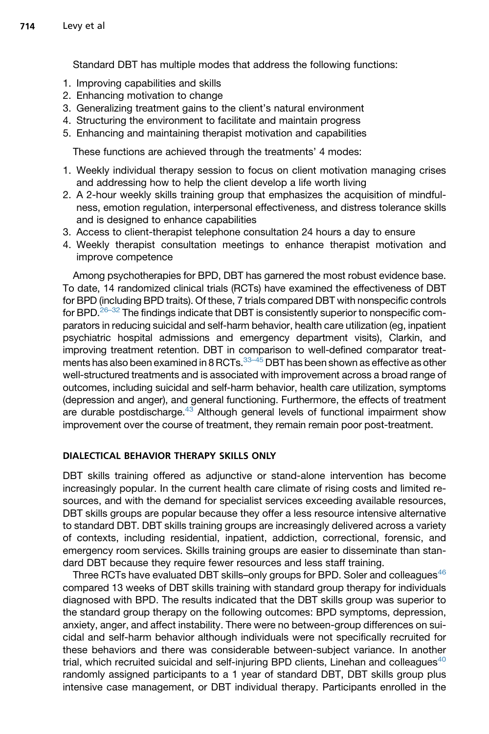Standard DBT has multiple modes that address the following functions:

- 1. Improving capabilities and skills
- 2. Enhancing motivation to change
- 3. Generalizing treatment gains to the client's natural environment
- 4. Structuring the environment to facilitate and maintain progress
- 5. Enhancing and maintaining therapist motivation and capabilities

These functions are achieved through the treatments' 4 modes:

- 1. Weekly individual therapy session to focus on client motivation managing crises and addressing how to help the client develop a life worth living
- 2. A 2-hour weekly skills training group that emphasizes the acquisition of mindfulness, emotion regulation, interpersonal effectiveness, and distress tolerance skills and is designed to enhance capabilities
- 3. Access to client-therapist telephone consultation 24 hours a day to ensure
- 4. Weekly therapist consultation meetings to enhance therapist motivation and improve competence

Among psychotherapies for BPD, DBT has garnered the most robust evidence base. To date, 14 randomized clinical trials (RCTs) have examined the effectiveness of DBT for BPD (including BPD traits). Of these, 7 trials compared DBT with nonspecific controls for BPD.<sup>26–32</sup> The findings indicate that DBT is consistently superior to nonspecific comparators in reducing suicidal and self-harm behavior, health care utilization (eg, inpatient psychiatric hospital admissions and emergency department visits), Clarkin, and improving treatment retention. DBT in comparison to well-defined comparator treatments has also been examined in 8 RCTs[.33–45](#page-13-0) DBT has been shown as effective as other well-structured treatments and is associated with improvement across a broad range of outcomes, including suicidal and self-harm behavior, health care utilization, symptoms (depression and anger), and general functioning. Furthermore, the effects of treatment are durable postdischarge. $43$  Although general levels of functional impairment show improvement over the course of treatment, they remain remain poor post-treatment.

#### DIALECTICAL BEHAVIOR THERAPY SKILLS ONLY

DBT skills training offered as adjunctive or stand-alone intervention has become increasingly popular. In the current health care climate of rising costs and limited resources, and with the demand for specialist services exceeding available resources, DBT skills groups are popular because they offer a less resource intensive alternative to standard DBT. DBT skills training groups are increasingly delivered across a variety of contexts, including residential, inpatient, addiction, correctional, forensic, and emergency room services. Skills training groups are easier to disseminate than standard DBT because they require fewer resources and less staff training.

Three RCTs have evaluated DBT skills–only groups for BPD. Soler and colleagues $46$ compared 13 weeks of DBT skills training with standard group therapy for individuals diagnosed with BPD. The results indicated that the DBT skills group was superior to the standard group therapy on the following outcomes: BPD symptoms, depression, anxiety, anger, and affect instability. There were no between-group differences on suicidal and self-harm behavior although individuals were not specifically recruited for these behaviors and there was considerable between-subject variance. In another trial, which recruited suicidal and self-injuring BPD clients, Linehan and colleagues $40$ randomly assigned participants to a 1 year of standard DBT, DBT skills group plus intensive case management, or DBT individual therapy. Participants enrolled in the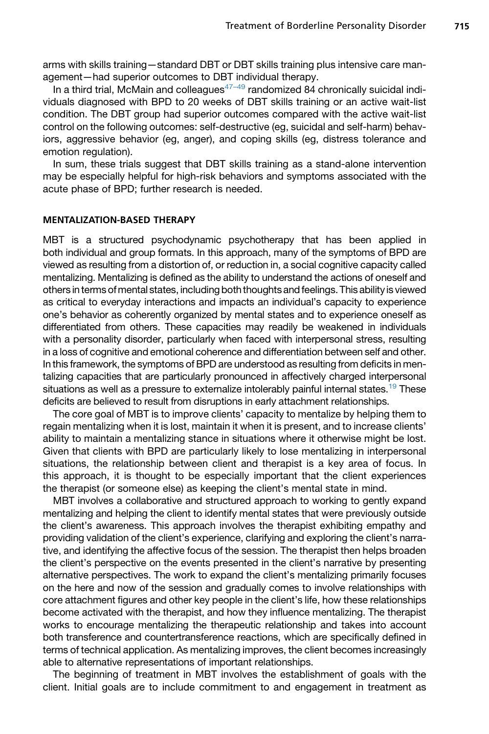arms with skills training—standard DBT or DBT skills training plus intensive care management—had superior outcomes to DBT individual therapy.

In a third trial, McMain and colleagues $47-49$  randomized 84 chronically suicidal individuals diagnosed with BPD to 20 weeks of DBT skills training or an active wait-list condition. The DBT group had superior outcomes compared with the active wait-list control on the following outcomes: self-destructive (eg, suicidal and self-harm) behaviors, aggressive behavior (eg, anger), and coping skills (eg, distress tolerance and emotion regulation).

In sum, these trials suggest that DBT skills training as a stand-alone intervention may be especially helpful for high-risk behaviors and symptoms associated with the acute phase of BPD; further research is needed.

#### MENTALIZATION-BASED THERAPY

MBT is a structured psychodynamic psychotherapy that has been applied in both individual and group formats. In this approach, many of the symptoms of BPD are viewed as resulting from a distortion of, or reduction in, a social cognitive capacity called mentalizing. Mentalizing is defined as the ability to understand the actions of oneself and others in terms of mental states, including both thoughts and feelings. This ability is viewed as critical to everyday interactions and impacts an individual's capacity to experience one's behavior as coherently organized by mental states and to experience oneself as differentiated from others. These capacities may readily be weakened in individuals with a personality disorder, particularly when faced with interpersonal stress, resulting in a loss of cognitive and emotional coherence and differentiation between self and other. In this framework, the symptoms of BPD are understood as resulting from deficits in mentalizing capacities that are particularly pronounced in affectively charged interpersonal situations as well as a pressure to externalize intolerably painful internal states.<sup>19</sup> These deficits are believed to result from disruptions in early attachment relationships.

The core goal of MBT is to improve clients' capacity to mentalize by helping them to regain mentalizing when it is lost, maintain it when it is present, and to increase clients' ability to maintain a mentalizing stance in situations where it otherwise might be lost. Given that clients with BPD are particularly likely to lose mentalizing in interpersonal situations, the relationship between client and therapist is a key area of focus. In this approach, it is thought to be especially important that the client experiences the therapist (or someone else) as keeping the client's mental state in mind.

MBT involves a collaborative and structured approach to working to gently expand mentalizing and helping the client to identify mental states that were previously outside the client's awareness. This approach involves the therapist exhibiting empathy and providing validation of the client's experience, clarifying and exploring the client's narrative, and identifying the affective focus of the session. The therapist then helps broaden the client's perspective on the events presented in the client's narrative by presenting alternative perspectives. The work to expand the client's mentalizing primarily focuses on the here and now of the session and gradually comes to involve relationships with core attachment figures and other key people in the client's life, how these relationships become activated with the therapist, and how they influence mentalizing. The therapist works to encourage mentalizing the therapeutic relationship and takes into account both transference and countertransference reactions, which are specifically defined in terms of technical application. As mentalizing improves, the client becomes increasingly able to alternative representations of important relationships.

The beginning of treatment in MBT involves the establishment of goals with the client. Initial goals are to include commitment to and engagement in treatment as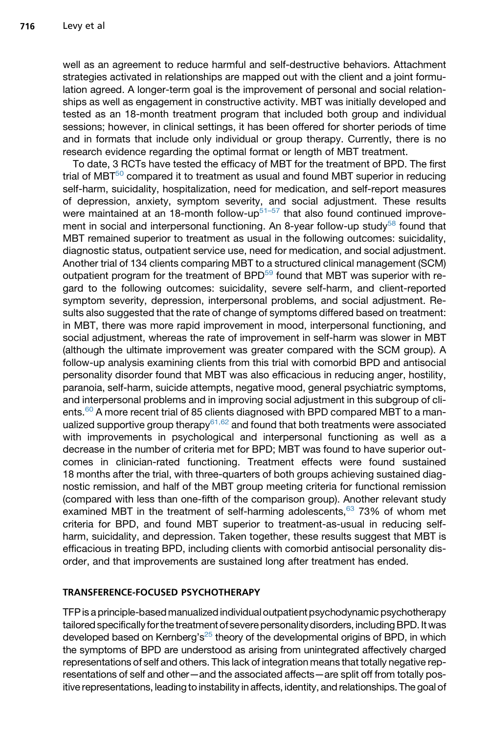well as an agreement to reduce harmful and self-destructive behaviors. Attachment strategies activated in relationships are mapped out with the client and a joint formulation agreed. A longer-term goal is the improvement of personal and social relationships as well as engagement in constructive activity. MBT was initially developed and tested as an 18-month treatment program that included both group and individual sessions; however, in clinical settings, it has been offered for shorter periods of time and in formats that include only individual or group therapy. Currently, there is no research evidence regarding the optimal format or length of MBT treatment.

To date, 3 RCTs have tested the efficacy of MBT for the treatment of BPD. The first trial of MBT $50$  compared it to treatment as usual and found MBT superior in reducing self-harm, suicidality, hospitalization, need for medication, and self-report measures of depression, anxiety, symptom severity, and social adjustment. These results were maintained at an 18-month follow-up $51-57$  that also found continued improvement in social and interpersonal functioning. An 8-year follow-up study<sup>58</sup> found that MBT remained superior to treatment as usual in the following outcomes: suicidality, diagnostic status, outpatient service use, need for medication, and social adjustment. Another trial of 134 clients comparing MBT to a structured clinical management (SCM) outpatient program for the treatment of BPD<sup>[59](#page-15-0)</sup> found that MBT was superior with regard to the following outcomes: suicidality, severe self-harm, and client-reported symptom severity, depression, interpersonal problems, and social adjustment. Results also suggested that the rate of change of symptoms differed based on treatment: in MBT, there was more rapid improvement in mood, interpersonal functioning, and social adjustment, whereas the rate of improvement in self-harm was slower in MBT (although the ultimate improvement was greater compared with the SCM group). A follow-up analysis examining clients from this trial with comorbid BPD and antisocial personality disorder found that MBT was also efficacious in reducing anger, hostility, paranoia, self-harm, suicide attempts, negative mood, general psychiatric symptoms, and interpersonal problems and in improving social adjustment in this subgroup of cli-ents.<sup>[60](#page-15-0)</sup> A more recent trial of 85 clients diagnosed with BPD compared MBT to a manualized supportive group therapy $61,62$  and found that both treatments were associated with improvements in psychological and interpersonal functioning as well as a decrease in the number of criteria met for BPD; MBT was found to have superior outcomes in clinician-rated functioning. Treatment effects were found sustained 18 months after the trial, with three-quarters of both groups achieving sustained diagnostic remission, and half of the MBT group meeting criteria for functional remission (compared with less than one-fifth of the comparison group). Another relevant study examined MBT in the treatment of self-harming adolescents,  $63$  73% of whom met criteria for BPD, and found MBT superior to treatment-as-usual in reducing selfharm, suicidality, and depression. Taken together, these results suggest that MBT is efficacious in treating BPD, including clients with comorbid antisocial personality disorder, and that improvements are sustained long after treatment has ended.

## TRANSFERENCE-FOCUSED PSYCHOTHERAPY

TFP is a principle-basedmanualized individual outpatient psychodynamic psychotherapy tailored specifically for the treatment of severe personality disorders, including BPD. It was developed based on Kernberg's<sup>[25](#page-13-0)</sup> theory of the developmental origins of BPD, in which the symptoms of BPD are understood as arising from unintegrated affectively charged representations of self and others. This lack of integration means that totally negative representations of self and other—and the associated affects—are split off from totally positive representations, leading to instability in affects, identity, and relationships. The goal of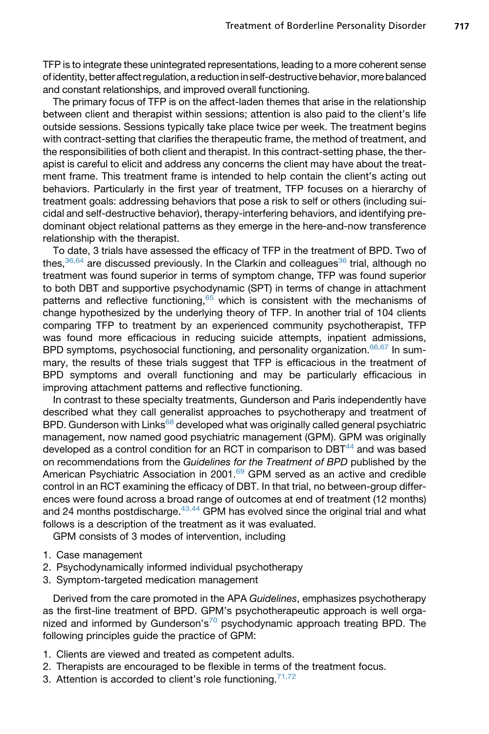TFP is to integrate these unintegrated representations, leading to a more coherent sense of identity, better affect regulation, a reduction in self-destructive behavior,more balanced and constant relationships, and improved overall functioning.

The primary focus of TFP is on the affect-laden themes that arise in the relationship between client and therapist within sessions; attention is also paid to the client's life outside sessions. Sessions typically take place twice per week. The treatment begins with contract-setting that clarifies the therapeutic frame, the method of treatment, and the responsibilities of both client and therapist. In this contract-setting phase, the therapist is careful to elicit and address any concerns the client may have about the treatment frame. This treatment frame is intended to help contain the client's acting out behaviors. Particularly in the first year of treatment, TFP focuses on a hierarchy of treatment goals: addressing behaviors that pose a risk to self or others (including suicidal and self-destructive behavior), therapy-interfering behaviors, and identifying predominant object relational patterns as they emerge in the here-and-now transference relationship with the therapist.

To date, 3 trials have assessed the efficacy of TFP in the treatment of BPD. Two of thes,  $36,64$  are discussed previously. In the Clarkin and colleagues  $36$  trial, although no treatment was found superior in terms of symptom change, TFP was found superior to both DBT and supportive psychodynamic (SPT) in terms of change in attachment patterns and reflective functioning, $65$  which is consistent with the mechanisms of change hypothesized by the underlying theory of TFP. In another trial of 104 clients comparing TFP to treatment by an experienced community psychotherapist, TFP was found more efficacious in reducing suicide attempts, inpatient admissions, BPD symptoms, psychosocial functioning, and personality organization.<sup>[66,67](#page-15-0)</sup> In summary, the results of these trials suggest that TFP is efficacious in the treatment of BPD symptoms and overall functioning and may be particularly efficacious in improving attachment patterns and reflective functioning.

In contrast to these specialty treatments, Gunderson and Paris independently have described what they call generalist approaches to psychotherapy and treatment of BPD. Gunderson with Links<sup>[68](#page-15-0)</sup> developed what was originally called general psychiatric management, now named good psychiatric management (GPM). GPM was originally developed as a control condition for an RCT in comparison to  $DBT<sup>44</sup>$  $DBT<sup>44</sup>$  $DBT<sup>44</sup>$  and was based on recommendations from the *Guidelines for the Treatment of BPD* published by the American Psychiatric Association in 2001.<sup>[69](#page-15-0)</sup> GPM served as an active and credible control in an RCT examining the efficacy of DBT. In that trial, no between-group differences were found across a broad range of outcomes at end of treatment (12 months) and 24 months postdischarge. $43,44$  GPM has evolved since the original trial and what follows is a description of the treatment as it was evaluated.

GPM consists of 3 modes of intervention, including

- 1. Case management
- 2. Psychodynamically informed individual psychotherapy
- 3. Symptom-targeted medication management

Derived from the care promoted in the APA *Guidelines*, emphasizes psychotherapy as the first-line treatment of BPD. GPM's psychotherapeutic approach is well orga-nized and informed by Gunderson's<sup>[70](#page-15-0)</sup> psychodynamic approach treating BPD. The following principles guide the practice of GPM:

- 1. Clients are viewed and treated as competent adults.
- 2. Therapists are encouraged to be flexible in terms of the treatment focus.
- 3. Attention is accorded to client's role functioning.<sup>[71,72](#page-15-0)</sup>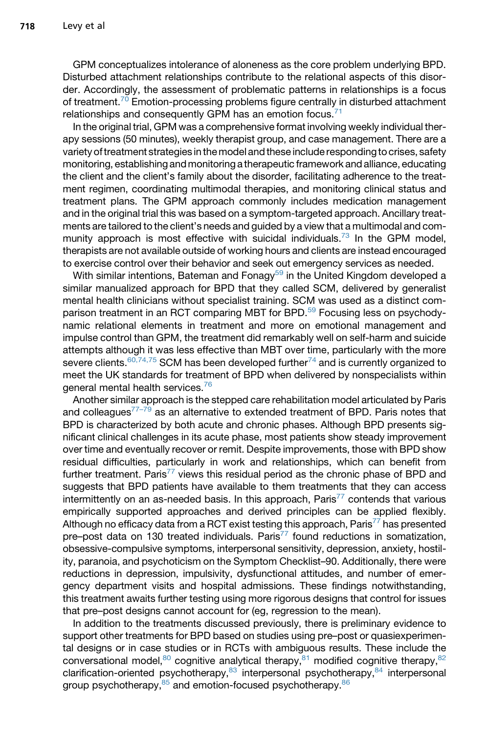GPM conceptualizes intolerance of aloneness as the core problem underlying BPD. Disturbed attachment relationships contribute to the relational aspects of this disorder. Accordingly, the assessment of problematic patterns in relationships is a focus of treatment.<sup>[70](#page-15-0)</sup> Emotion-processing problems figure centrally in disturbed attachment relationships and consequently GPM has an emotion focus. $71$ 

In the original trial, GPM was a comprehensive format involving weekly individual therapy sessions (50 minutes), weekly therapist group, and case management. There are a variety of treatment strategies in themodel and these include responding to crises, safety monitoring, establishing andmonitoring a therapeutic framework and alliance, educating the client and the client's family about the disorder, facilitating adherence to the treatment regimen, coordinating multimodal therapies, and monitoring clinical status and treatment plans. The GPM approach commonly includes medication management and in the original trial this was based on a symptom-targeted approach. Ancillary treatments are tailored to the client's needs and guided by a view that a multimodal and community approach is most effective with suicidal individuals.<sup>73</sup> In the GPM model, therapists are not available outside of working hours and clients are instead encouraged to exercise control over their behavior and seek out emergency services as needed.

With similar intentions, Bateman and Fonagy<sup>[59](#page-15-0)</sup> in the United Kingdom developed a similar manualized approach for BPD that they called SCM, delivered by generalist mental health clinicians without specialist training. SCM was used as a distinct com-parison treatment in an RCT comparing MBT for BPD.<sup>[59](#page-15-0)</sup> Focusing less on psychodynamic relational elements in treatment and more on emotional management and impulse control than GPM, the treatment did remarkably well on self-harm and suicide attempts although it was less effective than MBT over time, particularly with the more severe clients.<sup>[60,74,75](#page-15-0)</sup> SCM has been developed further<sup>[74](#page-16-0)</sup> and is currently organized to meet the UK standards for treatment of BPD when delivered by nonspecialists within general mental health services.<sup>[76](#page-16-0)</sup>

Another similar approach is the stepped care rehabilitation model articulated by Paris and colleagues $77-79$  as an alternative to extended treatment of BPD. Paris notes that BPD is characterized by both acute and chronic phases. Although BPD presents significant clinical challenges in its acute phase, most patients show steady improvement over time and eventually recover or remit. Despite improvements, those with BPD show residual difficulties, particularly in work and relationships, which can benefit from further treatment. Paris $^{77}$  views this residual period as the chronic phase of BPD and suggests that BPD patients have available to them treatments that they can access intermittently on an as-needed basis. In this approach, Paris $^{77}$  contends that various empirically supported approaches and derived principles can be applied flexibly. Although no efficacy data from a RCT exist testing this approach, Paris $^{77}$  has presented pre–post data on 130 treated individuals. Paris $^{77}$  $^{77}$  $^{77}$  found reductions in somatization, obsessive-compulsive symptoms, interpersonal sensitivity, depression, anxiety, hostility, paranoia, and psychoticism on the Symptom Checklist–90. Additionally, there were reductions in depression, impulsivity, dysfunctional attitudes, and number of emergency department visits and hospital admissions. These findings notwithstanding, this treatment awaits further testing using more rigorous designs that control for issues that pre–post designs cannot account for (eg, regression to the mean).

In addition to the treatments discussed previously, there is preliminary evidence to support other treatments for BPD based on studies using pre–post or quasiexperimental designs or in case studies or in RCTs with ambiguous results. These include the conversational model, $80$  cognitive analytical therapy, $81$  modified cognitive therapy, $82$ clarification-oriented psychotherapy[,83](#page-16-0) interpersonal psychotherapy[,84](#page-16-0) interpersonal group psychotherapy,  $85$  and emotion-focused psychotherapy.  $86$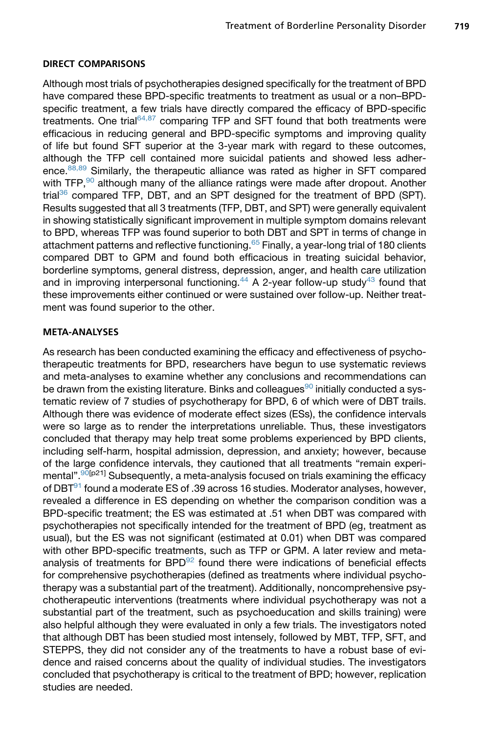#### DIRECT COMPARISONS

Although most trials of psychotherapies designed specifically for the treatment of BPD have compared these BPD-specific treatments to treatment as usual or a non–BPDspecific treatment, a few trials have directly compared the efficacy of BPD-specific treatments. One trial $64,87$  comparing TFP and SFT found that both treatments were efficacious in reducing general and BPD-specific symptoms and improving quality of life but found SFT superior at the 3-year mark with regard to these outcomes, although the TFP cell contained more suicidal patients and showed less adher-ence.<sup>[88,89](#page-16-0)</sup> Similarly, the therapeutic alliance was rated as higher in SFT compared with TFP,<sup>[90](#page-16-0)</sup> although many of the alliance ratings were made after dropout. Another trial $36$  compared TFP, DBT, and an SPT designed for the treatment of BPD (SPT). Results suggested that all 3 treatments (TFP, DBT, and SPT) were generally equivalent in showing statistically significant improvement in multiple symptom domains relevant to BPD, whereas TFP was found superior to both DBT and SPT in terms of change in attachment patterns and reflective functioning.<sup>[65](#page-15-0)</sup> Finally, a year-long trial of 180 clients compared DBT to GPM and found both efficacious in treating suicidal behavior, borderline symptoms, general distress, depression, anger, and health care utilization and in improving interpersonal functioning.<sup>[44](#page-14-0)</sup> A 2-year follow-up study<sup>[43](#page-14-0)</sup> found that these improvements either continued or were sustained over follow-up. Neither treatment was found superior to the other.

### META-ANALYSES

As research has been conducted examining the efficacy and effectiveness of psychotherapeutic treatments for BPD, researchers have begun to use systematic reviews and meta-analyses to examine whether any conclusions and recommendations can be drawn from the existing literature. Binks and colleagues<sup>[90](#page-16-0)</sup> initially conducted a systematic review of 7 studies of psychotherapy for BPD, 6 of which were of DBT trails. Although there was evidence of moderate effect sizes (ESs), the confidence intervals were so large as to render the interpretations unreliable. Thus, these investigators concluded that therapy may help treat some problems experienced by BPD clients, including self-harm, hospital admission, depression, and anxiety; however, because of the large confidence intervals, they cautioned that all treatments "remain experimental".<sup>90[p21]</sup> Subsequently, a meta-analysis focused on trials examining the efficacy of DBT<sup>91</sup> found a moderate ES of .39 across 16 studies. Moderator analyses, however, revealed a difference in ES depending on whether the comparison condition was a BPD-specific treatment; the ES was estimated at .51 when DBT was compared with psychotherapies not specifically intended for the treatment of BPD (eg, treatment as usual), but the ES was not significant (estimated at 0.01) when DBT was compared with other BPD-specific treatments, such as TFP or GPM. A later review and metaanalysis of treatments for  $BPD<sup>92</sup>$  $BPD<sup>92</sup>$  $BPD<sup>92</sup>$  found there were indications of beneficial effects for comprehensive psychotherapies (defined as treatments where individual psychotherapy was a substantial part of the treatment). Additionally, noncomprehensive psychotherapeutic interventions (treatments where individual psychotherapy was not a substantial part of the treatment, such as psychoeducation and skills training) were also helpful although they were evaluated in only a few trials. The investigators noted that although DBT has been studied most intensely, followed by MBT, TFP, SFT, and STEPPS, they did not consider any of the treatments to have a robust base of evidence and raised concerns about the quality of individual studies. The investigators concluded that psychotherapy is critical to the treatment of BPD; however, replication studies are needed.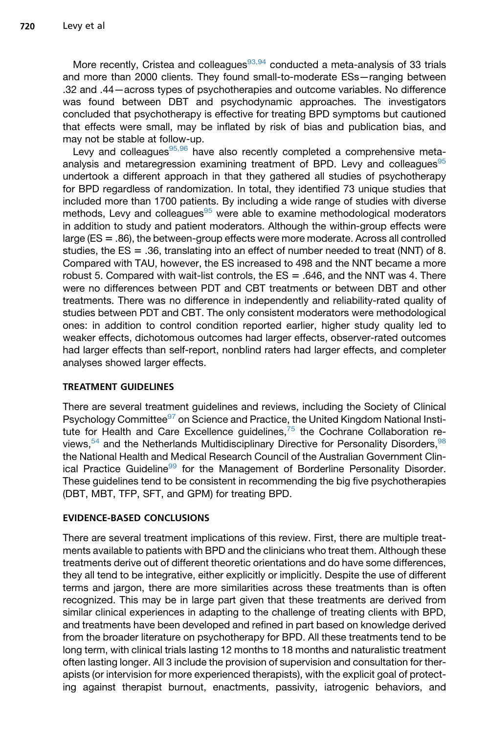More recently, Cristea and colleagues $93,94$  conducted a meta-analysis of 33 trials and more than 2000 clients. They found small-to-moderate ESs—ranging between .32 and .44—across types of psychotherapies and outcome variables. No difference was found between DBT and psychodynamic approaches. The investigators concluded that psychotherapy is effective for treating BPD symptoms but cautioned that effects were small, may be inflated by risk of bias and publication bias, and may not be stable at follow-up.

Levy and colleagues $95,96$  have also recently completed a comprehensive meta-analysis and metaregression examining treatment of BPD. Levy and colleagues<sup>[95](#page-17-0)</sup> undertook a different approach in that they gathered all studies of psychotherapy for BPD regardless of randomization. In total, they identified 73 unique studies that included more than 1700 patients. By including a wide range of studies with diverse methods, Levy and colleagues $95$  were able to examine methodological moderators in addition to study and patient moderators. Although the within-group effects were large  $(ES = .86)$ , the between-group effects were more moderate. Across all controlled studies, the  $ES = .36$ , translating into an effect of number needed to treat (NNT) of 8. Compared with TAU, however, the ES increased to 498 and the NNT became a more robust 5. Compared with wait-list controls, the  $ES = .646$ , and the NNT was 4. There were no differences between PDT and CBT treatments or between DBT and other treatments. There was no difference in independently and reliability-rated quality of studies between PDT and CBT. The only consistent moderators were methodological ones: in addition to control condition reported earlier, higher study quality led to weaker effects, dichotomous outcomes had larger effects, observer-rated outcomes had larger effects than self-report, nonblind raters had larger effects, and completer analyses showed larger effects.

## TREATMENT GUIDELINES

There are several treatment guidelines and reviews, including the Society of Clinical Psychology Committee<sup>[97](#page-17-0)</sup> on Science and Practice, the United Kingdom National Institute for Health and Care Excellence guidelines, $75$  the Cochrane Collaboration reviews, $54$  and the Netherlands Multidisciplinary Directive for Personality Disorders,  $98$ the National Health and Medical Research Council of the Australian Government Clin-ical Practice Guideline<sup>[99](#page-17-0)</sup> for the Management of Borderline Personality Disorder. These guidelines tend to be consistent in recommending the big five psychotherapies (DBT, MBT, TFP, SFT, and GPM) for treating BPD.

# EVIDENCE-BASED CONCLUSIONS

There are several treatment implications of this review. First, there are multiple treatments available to patients with BPD and the clinicians who treat them. Although these treatments derive out of different theoretic orientations and do have some differences, they all tend to be integrative, either explicitly or implicitly. Despite the use of different terms and jargon, there are more similarities across these treatments than is often recognized. This may be in large part given that these treatments are derived from similar clinical experiences in adapting to the challenge of treating clients with BPD, and treatments have been developed and refined in part based on knowledge derived from the broader literature on psychotherapy for BPD. All these treatments tend to be long term, with clinical trials lasting 12 months to 18 months and naturalistic treatment often lasting longer. All 3 include the provision of supervision and consultation for therapists (or intervision for more experienced therapists), with the explicit goal of protecting against therapist burnout, enactments, passivity, iatrogenic behaviors, and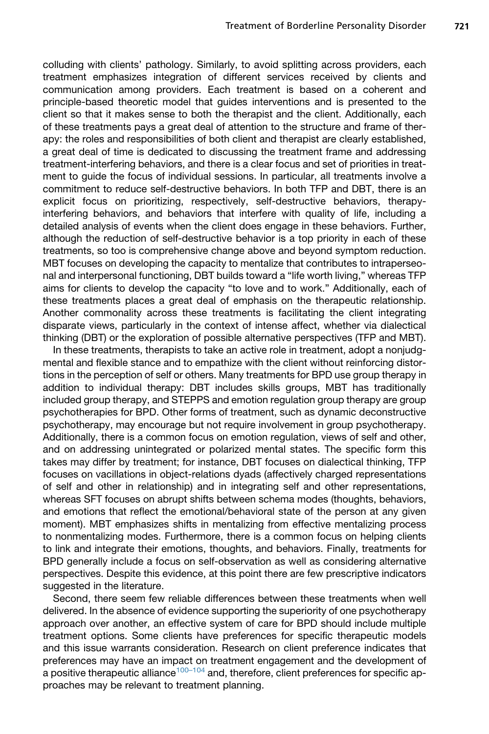colluding with clients' pathology. Similarly, to avoid splitting across providers, each treatment emphasizes integration of different services received by clients and communication among providers. Each treatment is based on a coherent and principle-based theoretic model that guides interventions and is presented to the client so that it makes sense to both the therapist and the client. Additionally, each of these treatments pays a great deal of attention to the structure and frame of therapy: the roles and responsibilities of both client and therapist are clearly established, a great deal of time is dedicated to discussing the treatment frame and addressing treatment-interfering behaviors, and there is a clear focus and set of priorities in treatment to guide the focus of individual sessions. In particular, all treatments involve a commitment to reduce self-destructive behaviors. In both TFP and DBT, there is an explicit focus on prioritizing, respectively, self-destructive behaviors, therapyinterfering behaviors, and behaviors that interfere with quality of life, including a detailed analysis of events when the client does engage in these behaviors. Further, although the reduction of self-destructive behavior is a top priority in each of these treatments, so too is comprehensive change above and beyond symptom reduction. MBT focuses on developing the capacity to mentalize that contributes to intraperseonal and interpersonal functioning, DBT builds toward a "life worth living," whereas TFP aims for clients to develop the capacity "to love and to work." Additionally, each of these treatments places a great deal of emphasis on the therapeutic relationship. Another commonality across these treatments is facilitating the client integrating disparate views, particularly in the context of intense affect, whether via dialectical thinking (DBT) or the exploration of possible alternative perspectives (TFP and MBT).

In these treatments, therapists to take an active role in treatment, adopt a nonjudgmental and flexible stance and to empathize with the client without reinforcing distortions in the perception of self or others. Many treatments for BPD use group therapy in addition to individual therapy: DBT includes skills groups, MBT has traditionally included group therapy, and STEPPS and emotion regulation group therapy are group psychotherapies for BPD. Other forms of treatment, such as dynamic deconstructive psychotherapy, may encourage but not require involvement in group psychotherapy. Additionally, there is a common focus on emotion regulation, views of self and other, and on addressing unintegrated or polarized mental states. The specific form this takes may differ by treatment; for instance, DBT focuses on dialectical thinking, TFP focuses on vacillations in object-relations dyads (affectively charged representations of self and other in relationship) and in integrating self and other representations, whereas SFT focuses on abrupt shifts between schema modes (thoughts, behaviors, and emotions that reflect the emotional/behavioral state of the person at any given moment). MBT emphasizes shifts in mentalizing from effective mentalizing process to nonmentalizing modes. Furthermore, there is a common focus on helping clients to link and integrate their emotions, thoughts, and behaviors. Finally, treatments for BPD generally include a focus on self-observation as well as considering alternative perspectives. Despite this evidence, at this point there are few prescriptive indicators suggested in the literature.

Second, there seem few reliable differences between these treatments when well delivered. In the absence of evidence supporting the superiority of one psychotherapy approach over another, an effective system of care for BPD should include multiple treatment options. Some clients have preferences for specific therapeutic models and this issue warrants consideration. Research on client preference indicates that preferences may have an impact on treatment engagement and the development of a positive therapeutic alliance<sup>[100–104](#page-17-0)</sup> and, therefore, client preferences for specific approaches may be relevant to treatment planning.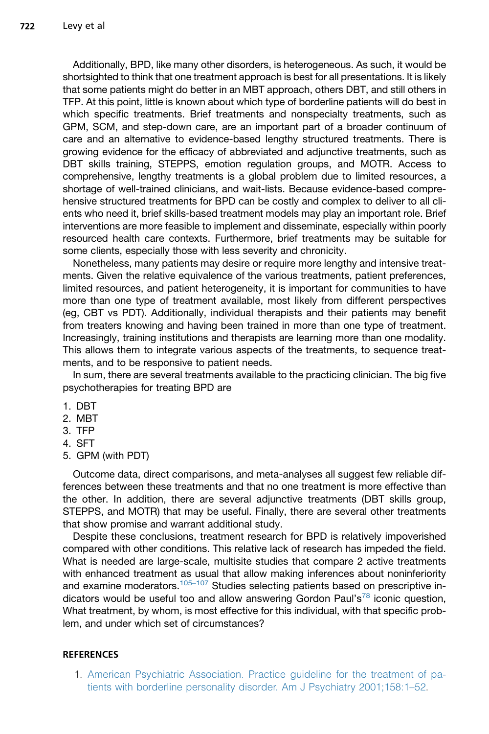<span id="page-11-0"></span>Additionally, BPD, like many other disorders, is heterogeneous. As such, it would be shortsighted to think that one treatment approach is best for all presentations. It is likely that some patients might do better in an MBT approach, others DBT, and still others in TFP. At this point, little is known about which type of borderline patients will do best in which specific treatments. Brief treatments and nonspecialty treatments, such as GPM, SCM, and step-down care, are an important part of a broader continuum of care and an alternative to evidence-based lengthy structured treatments. There is growing evidence for the efficacy of abbreviated and adjunctive treatments, such as DBT skills training, STEPPS, emotion regulation groups, and MOTR. Access to comprehensive, lengthy treatments is a global problem due to limited resources, a shortage of well-trained clinicians, and wait-lists. Because evidence-based comprehensive structured treatments for BPD can be costly and complex to deliver to all clients who need it, brief skills-based treatment models may play an important role. Brief interventions are more feasible to implement and disseminate, especially within poorly resourced health care contexts. Furthermore, brief treatments may be suitable for some clients, especially those with less severity and chronicity.

Nonetheless, many patients may desire or require more lengthy and intensive treatments. Given the relative equivalence of the various treatments, patient preferences, limited resources, and patient heterogeneity, it is important for communities to have more than one type of treatment available, most likely from different perspectives (eg, CBT vs PDT). Additionally, individual therapists and their patients may benefit from treaters knowing and having been trained in more than one type of treatment. Increasingly, training institutions and therapists are learning more than one modality. This allows them to integrate various aspects of the treatments, to sequence treatments, and to be responsive to patient needs.

In sum, there are several treatments available to the practicing clinician. The big five psychotherapies for treating BPD are

- 1. DBT
- 2. MBT
- 3. TFP
- 4. SFT
- 5. GPM (with PDT)

Outcome data, direct comparisons, and meta-analyses all suggest few reliable differences between these treatments and that no one treatment is more effective than the other. In addition, there are several adjunctive treatments (DBT skills group, STEPPS, and MOTR) that may be useful. Finally, there are several other treatments that show promise and warrant additional study.

Despite these conclusions, treatment research for BPD is relatively impoverished compared with other conditions. This relative lack of research has impeded the field. What is needed are large-scale, multisite studies that compare 2 active treatments with enhanced treatment as usual that allow making inferences about noninferiority and examine moderators.<sup>[105–107](#page-17-0)</sup> Studies selecting patients based on prescriptive in-dicators would be useful too and allow answering Gordon Paul's<sup>[78](#page-16-0)</sup> iconic question, What treatment, by whom, is most effective for this individual, with that specific problem, and under which set of circumstances?

#### **REFERENCES**

1. [American Psychiatric Association. Practice guideline for the treatment of pa](http://refhub.elsevier.com/S0193-953X(18)31140-7/sref1)[tients with borderline personality disorder. Am J Psychiatry 2001;158:1–52](http://refhub.elsevier.com/S0193-953X(18)31140-7/sref1).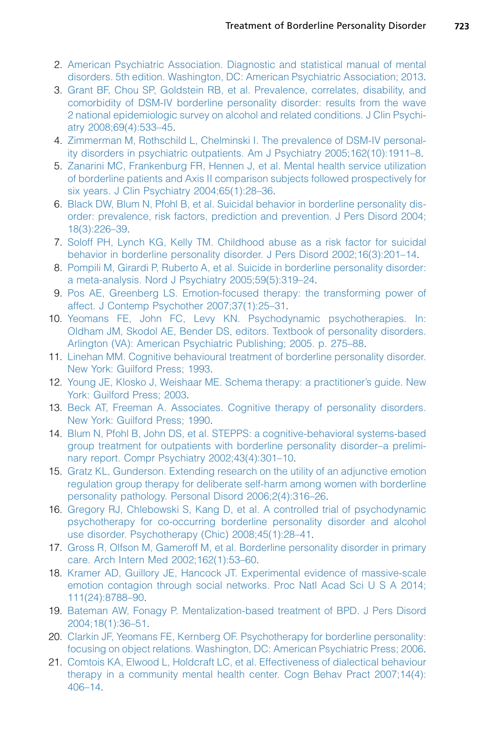- <span id="page-12-0"></span>2. [American Psychiatric Association. Diagnostic and statistical manual of mental](http://refhub.elsevier.com/S0193-953X(18)31140-7/sref2) [disorders. 5th edition. Washington, DC: American Psychiatric Association; 2013](http://refhub.elsevier.com/S0193-953X(18)31140-7/sref2).
- 3. [Grant BF, Chou SP, Goldstein RB, et al. Prevalence, correlates, disability, and](http://refhub.elsevier.com/S0193-953X(18)31140-7/sref3) [comorbidity of DSM-IV borderline personality disorder: results from the wave](http://refhub.elsevier.com/S0193-953X(18)31140-7/sref3) [2 national epidemiologic survey on alcohol and related conditions. J Clin Psychi](http://refhub.elsevier.com/S0193-953X(18)31140-7/sref3)[atry 2008;69\(4\):533–45.](http://refhub.elsevier.com/S0193-953X(18)31140-7/sref3)
- 4. [Zimmerman M, Rothschild L, Chelminski I. The prevalence of DSM-IV personal](http://refhub.elsevier.com/S0193-953X(18)31140-7/sref4)[ity disorders in psychiatric outpatients. Am J Psychiatry 2005;162\(10\):1911–8.](http://refhub.elsevier.com/S0193-953X(18)31140-7/sref4)
- 5. [Zanarini MC, Frankenburg FR, Hennen J, et al. Mental health service utilization](http://refhub.elsevier.com/S0193-953X(18)31140-7/sref5) [of borderline patients and Axis II comparison subjects followed prospectively for](http://refhub.elsevier.com/S0193-953X(18)31140-7/sref5) [six years. J Clin Psychiatry 2004;65\(1\):28–36](http://refhub.elsevier.com/S0193-953X(18)31140-7/sref5).
- 6. [Black DW, Blum N, Pfohl B, et al. Suicidal behavior in borderline personality dis](http://refhub.elsevier.com/S0193-953X(18)31140-7/sref6)[order: prevalence, risk factors, prediction and prevention. J Pers Disord 2004;](http://refhub.elsevier.com/S0193-953X(18)31140-7/sref6) [18\(3\):226–39](http://refhub.elsevier.com/S0193-953X(18)31140-7/sref6).
- 7. [Soloff PH, Lynch KG, Kelly TM. Childhood abuse as a risk factor for suicidal](http://refhub.elsevier.com/S0193-953X(18)31140-7/sref7) [behavior in borderline personality disorder. J Pers Disord 2002;16\(3\):201–14](http://refhub.elsevier.com/S0193-953X(18)31140-7/sref7).
- 8. [Pompili M, Girardi P, Ruberto A, et al. Suicide in borderline personality disorder:](http://refhub.elsevier.com/S0193-953X(18)31140-7/sref8) [a meta-analysis. Nord J Psychiatry 2005;59\(5\):319–24.](http://refhub.elsevier.com/S0193-953X(18)31140-7/sref8)
- 9. [Pos AE, Greenberg LS. Emotion-focused therapy: the transforming power of](http://refhub.elsevier.com/S0193-953X(18)31140-7/sref9) [affect. J Contemp Psychother 2007;37\(1\):25–31](http://refhub.elsevier.com/S0193-953X(18)31140-7/sref9).
- 10. [Yeomans FE, John FC, Levy KN. Psychodynamic psychotherapies. In:](http://refhub.elsevier.com/S0193-953X(18)31140-7/sref10) [Oldham JM, Skodol AE, Bender DS, editors. Textbook of personality disorders.](http://refhub.elsevier.com/S0193-953X(18)31140-7/sref10) [Arlington \(VA\): American Psychiatric Publishing; 2005. p. 275–88](http://refhub.elsevier.com/S0193-953X(18)31140-7/sref10).
- 11. [Linehan MM. Cognitive behavioural treatment of borderline personality disorder.](http://refhub.elsevier.com/S0193-953X(18)31140-7/sref11) [New York: Guilford Press; 1993.](http://refhub.elsevier.com/S0193-953X(18)31140-7/sref11)
- 12. [Young JE, Klosko J, Weishaar ME. Schema therapy: a practitioner's guide. New](http://refhub.elsevier.com/S0193-953X(18)31140-7/sref12) [York: Guilford Press; 2003.](http://refhub.elsevier.com/S0193-953X(18)31140-7/sref12)
- 13. [Beck AT, Freeman A. Associates. Cognitive therapy of personality disorders.](http://refhub.elsevier.com/S0193-953X(18)31140-7/sref111) [New York: Guilford Press; 1990.](http://refhub.elsevier.com/S0193-953X(18)31140-7/sref111)
- 14. [Blum N, Pfohl B, John DS, et al. STEPPS: a cognitive-behavioral systems-based](http://refhub.elsevier.com/S0193-953X(18)31140-7/sref13) [group treatment for outpatients with borderline personality disorder–a prelimi](http://refhub.elsevier.com/S0193-953X(18)31140-7/sref13)[nary report. Compr Psychiatry 2002;43\(4\):301–10](http://refhub.elsevier.com/S0193-953X(18)31140-7/sref13).
- 15. [Gratz KL, Gunderson. Extending research on the utility of an adjunctive emotion](http://refhub.elsevier.com/S0193-953X(18)31140-7/sref14) [regulation group therapy for deliberate self-harm among women with borderline](http://refhub.elsevier.com/S0193-953X(18)31140-7/sref14) [personality pathology. Personal Disord 2006;2\(4\):316–26.](http://refhub.elsevier.com/S0193-953X(18)31140-7/sref14)
- 16. [Gregory RJ, Chlebowski S, Kang D, et al. A controlled trial of psychodynamic](http://refhub.elsevier.com/S0193-953X(18)31140-7/sref15) [psychotherapy for co-occurring borderline personality disorder and alcohol](http://refhub.elsevier.com/S0193-953X(18)31140-7/sref15) [use disorder. Psychotherapy \(Chic\) 2008;45\(1\):28–41.](http://refhub.elsevier.com/S0193-953X(18)31140-7/sref15)
- 17. [Gross R, Olfson M, Gameroff M, et al. Borderline personality disorder in primary](http://refhub.elsevier.com/S0193-953X(18)31140-7/sref16) [care. Arch Intern Med 2002;162\(1\):53–60](http://refhub.elsevier.com/S0193-953X(18)31140-7/sref16).
- 18. [Kramer AD, Guillory JE, Hancock JT. Experimental evidence of massive-scale](http://refhub.elsevier.com/S0193-953X(18)31140-7/sref17) [emotion contagion through social networks. Proc Natl Acad Sci U S A 2014;](http://refhub.elsevier.com/S0193-953X(18)31140-7/sref17) [111\(24\):8788–90](http://refhub.elsevier.com/S0193-953X(18)31140-7/sref17).
- 19. [Bateman AW, Fonagy P. Mentalization-based treatment of BPD. J Pers Disord](http://refhub.elsevier.com/S0193-953X(18)31140-7/sref18) [2004;18\(1\):36–51.](http://refhub.elsevier.com/S0193-953X(18)31140-7/sref18)
- 20. [Clarkin JF, Yeomans FE, Kernberg OF. Psychotherapy for borderline personality:](http://refhub.elsevier.com/S0193-953X(18)31140-7/sref19) [focusing on object relations. Washington, DC: American Psychiatric Press; 2006](http://refhub.elsevier.com/S0193-953X(18)31140-7/sref19).
- 21. [Comtois KA, Elwood L, Holdcraft LC, et al. Effectiveness of dialectical behaviour](http://refhub.elsevier.com/S0193-953X(18)31140-7/sref20) [therapy in a community mental health center. Cogn Behav Pract 2007;14\(4\):](http://refhub.elsevier.com/S0193-953X(18)31140-7/sref20) [406–14.](http://refhub.elsevier.com/S0193-953X(18)31140-7/sref20)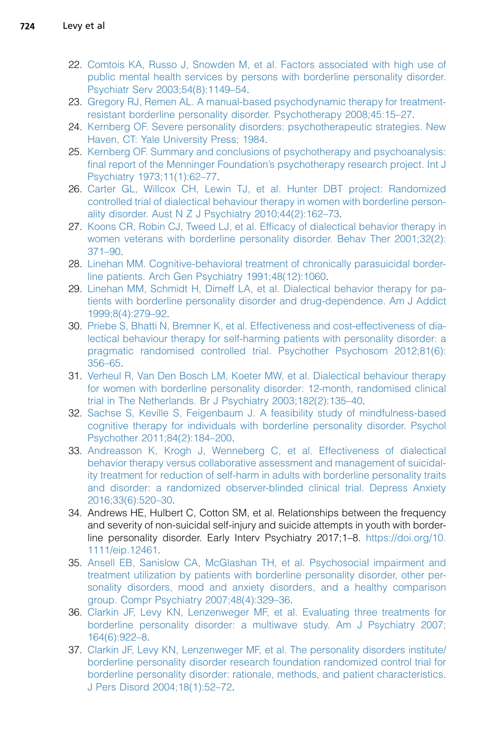- <span id="page-13-0"></span>22. [Comtois KA, Russo J, Snowden M, et al. Factors associated with high use of](http://refhub.elsevier.com/S0193-953X(18)31140-7/sref21) [public mental health services by persons with borderline personality disorder.](http://refhub.elsevier.com/S0193-953X(18)31140-7/sref21) [Psychiatr Serv 2003;54\(8\):1149–54.](http://refhub.elsevier.com/S0193-953X(18)31140-7/sref21)
- 23. [Gregory RJ, Remen AL. A manual-based psychodynamic therapy for treatment](http://refhub.elsevier.com/S0193-953X(18)31140-7/sref22)[resistant borderline personality disorder. Psychotherapy 2008;45:15–27.](http://refhub.elsevier.com/S0193-953X(18)31140-7/sref22)
- 24. [Kernberg OF. Severe personality disorders: psychotherapeutic strategies. New](http://refhub.elsevier.com/S0193-953X(18)31140-7/sref108) [Haven, CT: Yale University Press; 1984](http://refhub.elsevier.com/S0193-953X(18)31140-7/sref108).
- 25. [Kernberg OF. Summary and conclusions of psychotherapy and psychoanalysis:](http://refhub.elsevier.com/S0193-953X(18)31140-7/sref23) [final report of the Menninger Foundation's psychotherapy research project. Int J](http://refhub.elsevier.com/S0193-953X(18)31140-7/sref23) [Psychiatry 1973;11\(1\):62–77.](http://refhub.elsevier.com/S0193-953X(18)31140-7/sref23)
- 26. [Carter GL, Willcox CH, Lewin TJ, et al. Hunter DBT project: Randomized](http://refhub.elsevier.com/S0193-953X(18)31140-7/sref24) [controlled trial of dialectical behaviour therapy in women with borderline person](http://refhub.elsevier.com/S0193-953X(18)31140-7/sref24)[ality disorder. Aust N Z J Psychiatry 2010;44\(2\):162–73.](http://refhub.elsevier.com/S0193-953X(18)31140-7/sref24)
- 27. [Koons CR, Robin CJ, Tweed LJ, et al. Efficacy of dialectical behavior therapy in](http://refhub.elsevier.com/S0193-953X(18)31140-7/sref25) [women veterans with borderline personality disorder. Behav Ther 2001;32\(2\):](http://refhub.elsevier.com/S0193-953X(18)31140-7/sref25) [371–90.](http://refhub.elsevier.com/S0193-953X(18)31140-7/sref25)
- 28. [Linehan MM. Cognitive-behavioral treatment of chronically parasuicidal border](http://refhub.elsevier.com/S0193-953X(18)31140-7/sref26)[line patients. Arch Gen Psychiatry 1991;48\(12\):1060.](http://refhub.elsevier.com/S0193-953X(18)31140-7/sref26)
- 29. [Linehan MM, Schmidt H, Dimeff LA, et al. Dialectical behavior therapy for pa](http://refhub.elsevier.com/S0193-953X(18)31140-7/sref27)[tients with borderline personality disorder and drug-dependence. Am J Addict](http://refhub.elsevier.com/S0193-953X(18)31140-7/sref27) [1999;8\(4\):279–92](http://refhub.elsevier.com/S0193-953X(18)31140-7/sref27).
- 30. [Priebe S, Bhatti N, Bremner K, et al. Effectiveness and cost-effectiveness of dia](http://refhub.elsevier.com/S0193-953X(18)31140-7/sref28)[lectical behaviour therapy for self-harming patients with personality disorder: a](http://refhub.elsevier.com/S0193-953X(18)31140-7/sref28) [pragmatic randomised controlled trial. Psychother Psychosom 2012;81\(6\):](http://refhub.elsevier.com/S0193-953X(18)31140-7/sref28) [356–65.](http://refhub.elsevier.com/S0193-953X(18)31140-7/sref28)
- 31. [Verheul R, Van Den Bosch LM, Koeter MW, et al. Dialectical behaviour therapy](http://refhub.elsevier.com/S0193-953X(18)31140-7/sref29) [for women with borderline personality disorder: 12-month, randomised clinical](http://refhub.elsevier.com/S0193-953X(18)31140-7/sref29) [trial in The Netherlands. Br J Psychiatry 2003;182\(2\):135–40](http://refhub.elsevier.com/S0193-953X(18)31140-7/sref29).
- 32. [Sachse S, Keville S, Feigenbaum J. A feasibility study of mindfulness-based](http://refhub.elsevier.com/S0193-953X(18)31140-7/sref30) [cognitive therapy for individuals with borderline personality disorder. Psychol](http://refhub.elsevier.com/S0193-953X(18)31140-7/sref30) [Psychother 2011;84\(2\):184–200.](http://refhub.elsevier.com/S0193-953X(18)31140-7/sref30)
- 33. [Andreasson K, Krogh J, Wenneberg C, et al. Effectiveness of dialectical](http://refhub.elsevier.com/S0193-953X(18)31140-7/sref31) [behavior therapy versus collaborative assessment and management of suicidal](http://refhub.elsevier.com/S0193-953X(18)31140-7/sref31)[ity treatment for reduction of self-harm in adults with borderline personality traits](http://refhub.elsevier.com/S0193-953X(18)31140-7/sref31) [and disorder: a randomized observer-blinded clinical trial. Depress Anxiety](http://refhub.elsevier.com/S0193-953X(18)31140-7/sref31) [2016;33\(6\):520–30](http://refhub.elsevier.com/S0193-953X(18)31140-7/sref31).
- 34. Andrews HE, Hulbert C, Cotton SM, et al. Relationships between the frequency and severity of non-suicidal self-injury and suicide attempts in youth with borderline personality disorder. Early Interv Psychiatry 2017;1–8. [https://doi.org/10.](https://doi.org/10.1111/eip.12461) [1111/eip.12461](https://doi.org/10.1111/eip.12461).
- 35. [Ansell EB, Sanislow CA, McGlashan TH, et al. Psychosocial impairment and](http://refhub.elsevier.com/S0193-953X(18)31140-7/sref33) [treatment utilization by patients with borderline personality disorder, other per](http://refhub.elsevier.com/S0193-953X(18)31140-7/sref33)[sonality disorders, mood and anxiety disorders, and a healthy comparison](http://refhub.elsevier.com/S0193-953X(18)31140-7/sref33) [group. Compr Psychiatry 2007;48\(4\):329–36](http://refhub.elsevier.com/S0193-953X(18)31140-7/sref33).
- 36. [Clarkin JF, Levy KN, Lenzenweger MF, et al. Evaluating three treatments for](http://refhub.elsevier.com/S0193-953X(18)31140-7/sref34) [borderline personality disorder: a multiwave study. Am J Psychiatry 2007;](http://refhub.elsevier.com/S0193-953X(18)31140-7/sref34) [164\(6\):922–8.](http://refhub.elsevier.com/S0193-953X(18)31140-7/sref34)
- 37. [Clarkin JF, Levy KN, Lenzenweger MF, et al. The personality disorders institute/](http://refhub.elsevier.com/S0193-953X(18)31140-7/sref35) [borderline personality disorder research foundation randomized control trial for](http://refhub.elsevier.com/S0193-953X(18)31140-7/sref35) [borderline personality disorder: rationale, methods, and patient characteristics.](http://refhub.elsevier.com/S0193-953X(18)31140-7/sref35) [J Pers Disord 2004;18\(1\):52–72.](http://refhub.elsevier.com/S0193-953X(18)31140-7/sref35)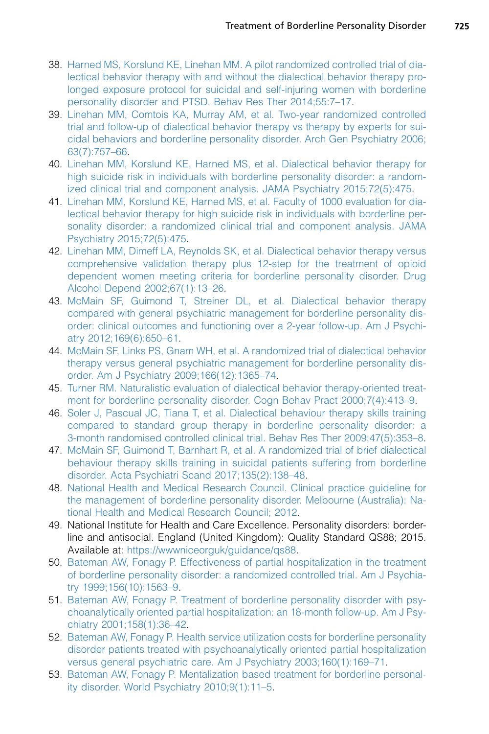- <span id="page-14-0"></span>38. [Harned MS, Korslund KE, Linehan MM. A pilot randomized controlled trial of dia](http://refhub.elsevier.com/S0193-953X(18)31140-7/sref36)[lectical behavior therapy with and without the dialectical behavior therapy pro](http://refhub.elsevier.com/S0193-953X(18)31140-7/sref36)[longed exposure protocol for suicidal and self-injuring women with borderline](http://refhub.elsevier.com/S0193-953X(18)31140-7/sref36) [personality disorder and PTSD. Behav Res Ther 2014;55:7–17.](http://refhub.elsevier.com/S0193-953X(18)31140-7/sref36)
- 39. [Linehan MM, Comtois KA, Murray AM, et al. Two-year randomized controlled](http://refhub.elsevier.com/S0193-953X(18)31140-7/sref37) [trial and follow-up of dialectical behavior therapy vs therapy by experts for sui](http://refhub.elsevier.com/S0193-953X(18)31140-7/sref37)[cidal behaviors and borderline personality disorder. Arch Gen Psychiatry 2006;](http://refhub.elsevier.com/S0193-953X(18)31140-7/sref37) [63\(7\):757–66](http://refhub.elsevier.com/S0193-953X(18)31140-7/sref37).
- 40. [Linehan MM, Korslund KE, Harned MS, et al. Dialectical behavior therapy for](http://refhub.elsevier.com/S0193-953X(18)31140-7/sref38) [high suicide risk in individuals with borderline personality disorder: a random](http://refhub.elsevier.com/S0193-953X(18)31140-7/sref38)[ized clinical trial and component analysis. JAMA Psychiatry 2015;72\(5\):475.](http://refhub.elsevier.com/S0193-953X(18)31140-7/sref38)
- 41. [Linehan MM, Korslund KE, Harned MS, et al. Faculty of 1000 evaluation for dia](http://refhub.elsevier.com/S0193-953X(18)31140-7/sref39)[lectical behavior therapy for high suicide risk in individuals with borderline per](http://refhub.elsevier.com/S0193-953X(18)31140-7/sref39)[sonality disorder: a randomized clinical trial and component analysis. JAMA](http://refhub.elsevier.com/S0193-953X(18)31140-7/sref39) [Psychiatry 2015;72\(5\):475.](http://refhub.elsevier.com/S0193-953X(18)31140-7/sref39)
- 42. [Linehan MM, Dimeff LA, Reynolds SK, et al. Dialectical behavior therapy versus](http://refhub.elsevier.com/S0193-953X(18)31140-7/sref40) [comprehensive validation therapy plus 12-step for the treatment of opioid](http://refhub.elsevier.com/S0193-953X(18)31140-7/sref40) [dependent women meeting criteria for borderline personality disorder. Drug](http://refhub.elsevier.com/S0193-953X(18)31140-7/sref40) [Alcohol Depend 2002;67\(1\):13–26.](http://refhub.elsevier.com/S0193-953X(18)31140-7/sref40)
- 43. [McMain SF, Guimond T, Streiner DL, et al. Dialectical behavior therapy](http://refhub.elsevier.com/S0193-953X(18)31140-7/sref41) [compared with general psychiatric management for borderline personality dis](http://refhub.elsevier.com/S0193-953X(18)31140-7/sref41)[order: clinical outcomes and functioning over a 2-year follow-up. Am J Psychi](http://refhub.elsevier.com/S0193-953X(18)31140-7/sref41)[atry 2012;169\(6\):650–61.](http://refhub.elsevier.com/S0193-953X(18)31140-7/sref41)
- 44. [McMain SF, Links PS, Gnam WH, et al. A randomized trial of dialectical behavior](http://refhub.elsevier.com/S0193-953X(18)31140-7/sref42) [therapy versus general psychiatric management for borderline personality dis](http://refhub.elsevier.com/S0193-953X(18)31140-7/sref42)[order. Am J Psychiatry 2009;166\(12\):1365–74.](http://refhub.elsevier.com/S0193-953X(18)31140-7/sref42)
- 45. [Turner RM. Naturalistic evaluation of dialectical behavior therapy-oriented treat](http://refhub.elsevier.com/S0193-953X(18)31140-7/sref43)[ment for borderline personality disorder. Cogn Behav Pract 2000;7\(4\):413–9](http://refhub.elsevier.com/S0193-953X(18)31140-7/sref43).
- 46. [Soler J, Pascual JC, Tiana T, et al. Dialectical behaviour therapy skills training](http://refhub.elsevier.com/S0193-953X(18)31140-7/sref44) [compared to standard group therapy in borderline personality disorder: a](http://refhub.elsevier.com/S0193-953X(18)31140-7/sref44) [3-month randomised controlled clinical trial. Behav Res Ther 2009;47\(5\):353–8](http://refhub.elsevier.com/S0193-953X(18)31140-7/sref44).
- 47. [McMain SF, Guimond T, Barnhart R, et al. A randomized trial of brief dialectical](http://refhub.elsevier.com/S0193-953X(18)31140-7/sref45) [behaviour therapy skills training in suicidal patients suffering from borderline](http://refhub.elsevier.com/S0193-953X(18)31140-7/sref45) [disorder. Acta Psychiatri Scand 2017;135\(2\):138–48.](http://refhub.elsevier.com/S0193-953X(18)31140-7/sref45)
- 48. [National Health and Medical Research Council. Clinical practice guideline for](http://refhub.elsevier.com/S0193-953X(18)31140-7/sref46) [the management of borderline personality disorder. Melbourne \(Australia\): Na](http://refhub.elsevier.com/S0193-953X(18)31140-7/sref46)[tional Health and Medical Research Council; 2012](http://refhub.elsevier.com/S0193-953X(18)31140-7/sref46).
- 49. National Institute for Health and Care Excellence. Personality disorders: borderline and antisocial. England (United Kingdom): Quality Standard QS88; 2015. Available at: [https://wwwniceorguk/guidance/qs88.](https://wwwniceorguk/guidance/qs88)
- 50. [Bateman AW, Fonagy P. Effectiveness of partial hospitalization in the treatment](http://refhub.elsevier.com/S0193-953X(18)31140-7/sref48) [of borderline personality disorder: a randomized controlled trial. Am J Psychia](http://refhub.elsevier.com/S0193-953X(18)31140-7/sref48)[try 1999;156\(10\):1563–9.](http://refhub.elsevier.com/S0193-953X(18)31140-7/sref48)
- 51. [Bateman AW, Fonagy P. Treatment of borderline personality disorder with psy](http://refhub.elsevier.com/S0193-953X(18)31140-7/sref49)[choanalytically oriented partial hospitalization: an 18-month follow-up. Am J Psy](http://refhub.elsevier.com/S0193-953X(18)31140-7/sref49)[chiatry 2001;158\(1\):36–42.](http://refhub.elsevier.com/S0193-953X(18)31140-7/sref49)
- 52. [Bateman AW, Fonagy P. Health service utilization costs for borderline personality](http://refhub.elsevier.com/S0193-953X(18)31140-7/sref50) [disorder patients treated with psychoanalytically oriented partial hospitalization](http://refhub.elsevier.com/S0193-953X(18)31140-7/sref50) [versus general psychiatric care. Am J Psychiatry 2003;160\(1\):169–71](http://refhub.elsevier.com/S0193-953X(18)31140-7/sref50).
- 53. [Bateman AW, Fonagy P. Mentalization based treatment for borderline personal](http://refhub.elsevier.com/S0193-953X(18)31140-7/sref51)[ity disorder. World Psychiatry 2010;9\(1\):11–5](http://refhub.elsevier.com/S0193-953X(18)31140-7/sref51).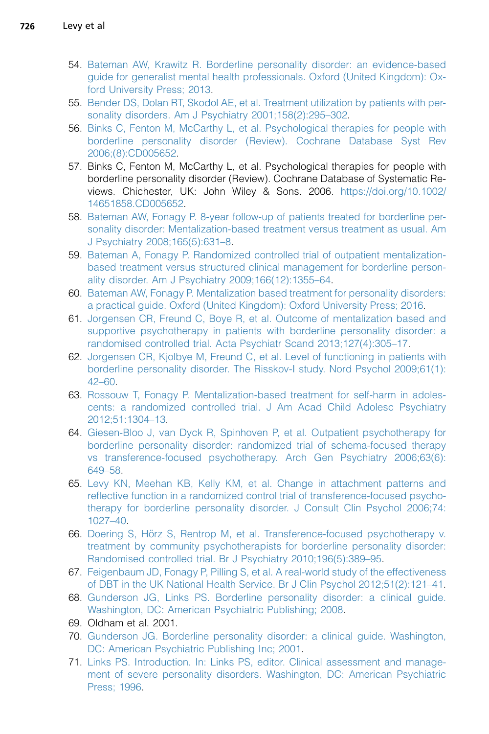- <span id="page-15-0"></span>54. [Bateman AW, Krawitz R. Borderline personality disorder: an evidence-based](http://refhub.elsevier.com/S0193-953X(18)31140-7/sref52) [guide for generalist mental health professionals. Oxford \(United Kingdom\): Ox](http://refhub.elsevier.com/S0193-953X(18)31140-7/sref52)[ford University Press; 2013](http://refhub.elsevier.com/S0193-953X(18)31140-7/sref52).
- 55. [Bender DS, Dolan RT, Skodol AE, et al. Treatment utilization by patients with per](http://refhub.elsevier.com/S0193-953X(18)31140-7/sref53)[sonality disorders. Am J Psychiatry 2001;158\(2\):295–302.](http://refhub.elsevier.com/S0193-953X(18)31140-7/sref53)
- 56. [Binks C, Fenton M, McCarthy L, et al. Psychological therapies for people with](http://refhub.elsevier.com/S0193-953X(18)31140-7/sref54) [borderline personality disorder \(Review\). Cochrane Database Syst Rev](http://refhub.elsevier.com/S0193-953X(18)31140-7/sref54) [2006;\(8\):CD005652.](http://refhub.elsevier.com/S0193-953X(18)31140-7/sref54)
- 57. Binks C, Fenton M, McCarthy L, et al. Psychological therapies for people with borderline personality disorder (Review). Cochrane Database of Systematic Reviews. Chichester, UK: John Wiley & Sons. 2006. [https://doi.org/10.1002/](https://doi.org/10.1002/14651858.CD005652) [14651858.CD005652](https://doi.org/10.1002/14651858.CD005652).
- 58. [Bateman AW, Fonagy P. 8-year follow-up of patients treated for borderline per](http://refhub.elsevier.com/S0193-953X(18)31140-7/sref56)[sonality disorder: Mentalization-based treatment versus treatment as usual. Am](http://refhub.elsevier.com/S0193-953X(18)31140-7/sref56) [J Psychiatry 2008;165\(5\):631–8](http://refhub.elsevier.com/S0193-953X(18)31140-7/sref56).
- 59. [Bateman A, Fonagy P. Randomized controlled trial of outpatient mentalization](http://refhub.elsevier.com/S0193-953X(18)31140-7/sref57)[based treatment versus structured clinical management for borderline person](http://refhub.elsevier.com/S0193-953X(18)31140-7/sref57)[ality disorder. Am J Psychiatry 2009;166\(12\):1355–64](http://refhub.elsevier.com/S0193-953X(18)31140-7/sref57).
- 60. [Bateman AW, Fonagy P. Mentalization based treatment for personality disorders:](http://refhub.elsevier.com/S0193-953X(18)31140-7/sref58) [a practical guide. Oxford \(United Kingdom\): Oxford University Press; 2016.](http://refhub.elsevier.com/S0193-953X(18)31140-7/sref58)
- 61. [Jorgensen CR, Freund C, Boye R, et al. Outcome of mentalization based and](http://refhub.elsevier.com/S0193-953X(18)31140-7/sref59) [supportive psychotherapy in patients with borderline personality disorder: a](http://refhub.elsevier.com/S0193-953X(18)31140-7/sref59) [randomised controlled trial. Acta Psychiatr Scand 2013;127\(4\):305–17](http://refhub.elsevier.com/S0193-953X(18)31140-7/sref59).
- 62. [Jorgensen CR, Kjolbye M, Freund C, et al. Level of functioning in patients with](http://refhub.elsevier.com/S0193-953X(18)31140-7/sref60) [borderline personality disorder. The Risskov-I study. Nord Psychol 2009;61\(1\):](http://refhub.elsevier.com/S0193-953X(18)31140-7/sref60) [42–60.](http://refhub.elsevier.com/S0193-953X(18)31140-7/sref60)
- 63. [Rossouw T, Fonagy P. Mentalization-based treatment for self-harm in adoles](http://refhub.elsevier.com/S0193-953X(18)31140-7/sref61)[cents: a randomized controlled trial. J Am Acad Child Adolesc Psychiatry](http://refhub.elsevier.com/S0193-953X(18)31140-7/sref61) [2012;51:1304–13](http://refhub.elsevier.com/S0193-953X(18)31140-7/sref61).
- 64. [Giesen-Bloo J, van Dyck R, Spinhoven P, et al. Outpatient psychotherapy for](http://refhub.elsevier.com/S0193-953X(18)31140-7/sref62) [borderline personality disorder: randomized trial of schema-focused therapy](http://refhub.elsevier.com/S0193-953X(18)31140-7/sref62) [vs transference-focused psychotherapy. Arch Gen Psychiatry 2006;63\(6\):](http://refhub.elsevier.com/S0193-953X(18)31140-7/sref62) [649–58.](http://refhub.elsevier.com/S0193-953X(18)31140-7/sref62)
- 65. [Levy KN, Meehan KB, Kelly KM, et al. Change in attachment patterns and](http://refhub.elsevier.com/S0193-953X(18)31140-7/sref63) [reflective function in a randomized control trial of transference-focused psycho](http://refhub.elsevier.com/S0193-953X(18)31140-7/sref63)[therapy for borderline personality disorder. J Consult Clin Psychol 2006;74:](http://refhub.elsevier.com/S0193-953X(18)31140-7/sref63) [1027–40](http://refhub.elsevier.com/S0193-953X(18)31140-7/sref63).
- 66. Doering S, Hörz S, Rentrop M, et al. Transference-focused psychotherapy v. [treatment by community psychotherapists for borderline personality disorder:](http://refhub.elsevier.com/S0193-953X(18)31140-7/sref64) [Randomised controlled trial. Br J Psychiatry 2010;196\(5\):389–95](http://refhub.elsevier.com/S0193-953X(18)31140-7/sref64).
- 67. [Feigenbaum JD, Fonagy P, Pilling S, et al. A real-world study of the effectiveness](http://refhub.elsevier.com/S0193-953X(18)31140-7/sref65) [of DBT in the UK National Health Service. Br J Clin Psychol 2012;51\(2\):121–41.](http://refhub.elsevier.com/S0193-953X(18)31140-7/sref65)
- 68. [Gunderson JG, Links PS. Borderline personality disorder: a clinical guide.](http://refhub.elsevier.com/S0193-953X(18)31140-7/sref66) [Washington, DC: American Psychiatric Publishing; 2008](http://refhub.elsevier.com/S0193-953X(18)31140-7/sref66).
- 69. Oldham et al. 2001.
- 70. [Gunderson JG. Borderline personality disorder: a clinical guide. Washington,](http://refhub.elsevier.com/S0193-953X(18)31140-7/sref68) [DC: American Psychiatric Publishing Inc; 2001](http://refhub.elsevier.com/S0193-953X(18)31140-7/sref68).
- 71. [Links PS. Introduction. In: Links PS, editor. Clinical assessment and manage](http://refhub.elsevier.com/S0193-953X(18)31140-7/sref69)[ment of severe personality disorders. Washington, DC: American Psychiatric](http://refhub.elsevier.com/S0193-953X(18)31140-7/sref69) [Press; 1996.](http://refhub.elsevier.com/S0193-953X(18)31140-7/sref69)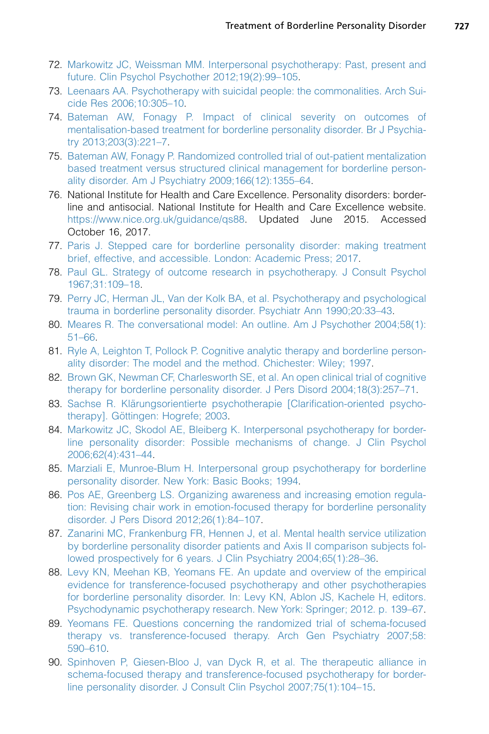- <span id="page-16-0"></span>72. [Markowitz JC, Weissman MM. Interpersonal psychotherapy: Past, present and](http://refhub.elsevier.com/S0193-953X(18)31140-7/sref70) [future. Clin Psychol Psychother 2012;19\(2\):99–105](http://refhub.elsevier.com/S0193-953X(18)31140-7/sref70).
- 73. [Leenaars AA. Psychotherapy with suicidal people: the commonalities. Arch Sui](http://refhub.elsevier.com/S0193-953X(18)31140-7/sref71)[cide Res 2006;10:305–10](http://refhub.elsevier.com/S0193-953X(18)31140-7/sref71).
- 74. [Bateman AW, Fonagy P. Impact of clinical severity on outcomes of](http://refhub.elsevier.com/S0193-953X(18)31140-7/sref72) [mentalisation-based treatment for borderline personality disorder. Br J Psychia](http://refhub.elsevier.com/S0193-953X(18)31140-7/sref72)[try 2013;203\(3\):221–7.](http://refhub.elsevier.com/S0193-953X(18)31140-7/sref72)
- 75. [Bateman AW, Fonagy P. Randomized controlled trial of out-patient mentalization](http://refhub.elsevier.com/S0193-953X(18)31140-7/sref73) [based treatment versus structured clinical management for borderline person](http://refhub.elsevier.com/S0193-953X(18)31140-7/sref73)[ality disorder. Am J Psychiatry 2009;166\(12\):1355–64.](http://refhub.elsevier.com/S0193-953X(18)31140-7/sref73)
- 76. National Institute for Health and Care Excellence. Personality disorders: borderline and antisocial. National Institute for Health and Care Excellence website. <https://www.nice.org.uk/guidance/qs88>. Updated June 2015. Accessed October 16, 2017.
- 77. [Paris J. Stepped care for borderline personality disorder: making treatment](http://refhub.elsevier.com/S0193-953X(18)31140-7/sref76) [brief, effective, and accessible. London: Academic Press; 2017.](http://refhub.elsevier.com/S0193-953X(18)31140-7/sref76)
- 78. [Paul GL. Strategy of outcome research in psychotherapy. J Consult Psychol](http://refhub.elsevier.com/S0193-953X(18)31140-7/sref77) [1967;31:109–18.](http://refhub.elsevier.com/S0193-953X(18)31140-7/sref77)
- 79. [Perry JC, Herman JL, Van der Kolk BA, et al. Psychotherapy and psychological](http://refhub.elsevier.com/S0193-953X(18)31140-7/sref78) [trauma in borderline personality disorder. Psychiatr Ann 1990;20:33–43](http://refhub.elsevier.com/S0193-953X(18)31140-7/sref78).
- 80. [Meares R. The conversational model: An outline. Am J Psychother 2004;58\(1\):](http://refhub.elsevier.com/S0193-953X(18)31140-7/sref79) [51–66](http://refhub.elsevier.com/S0193-953X(18)31140-7/sref79).
- 81. [Ryle A, Leighton T, Pollock P. Cognitive analytic therapy and borderline person](http://refhub.elsevier.com/S0193-953X(18)31140-7/sref80)[ality disorder: The model and the method. Chichester: Wiley; 1997.](http://refhub.elsevier.com/S0193-953X(18)31140-7/sref80)
- 82. [Brown GK, Newman CF, Charlesworth SE, et al. An open clinical trial of cognitive](http://refhub.elsevier.com/S0193-953X(18)31140-7/sref81) [therapy for borderline personality disorder. J Pers Disord 2004;18\(3\):257–71](http://refhub.elsevier.com/S0193-953X(18)31140-7/sref81).
- 83. Sachse R. Klärungsorientierte psychotherapie [Clarification-oriented psychotherapy]. Göttingen: Hogrefe; 2003.
- 84. [Markowitz JC, Skodol AE, Bleiberg K. Interpersonal psychotherapy for border](http://refhub.elsevier.com/S0193-953X(18)31140-7/sref83)[line personality disorder: Possible mechanisms of change. J Clin Psychol](http://refhub.elsevier.com/S0193-953X(18)31140-7/sref83) [2006;62\(4\):431–44.](http://refhub.elsevier.com/S0193-953X(18)31140-7/sref83)
- 85. [Marziali E, Munroe-Blum H. Interpersonal group psychotherapy for borderline](http://refhub.elsevier.com/S0193-953X(18)31140-7/sref84) [personality disorder. New York: Basic Books; 1994](http://refhub.elsevier.com/S0193-953X(18)31140-7/sref84).
- 86. [Pos AE, Greenberg LS. Organizing awareness and increasing emotion regula](http://refhub.elsevier.com/S0193-953X(18)31140-7/sref85)[tion: Revising chair work in emotion-focused therapy for borderline personality](http://refhub.elsevier.com/S0193-953X(18)31140-7/sref85) [disorder. J Pers Disord 2012;26\(1\):84–107](http://refhub.elsevier.com/S0193-953X(18)31140-7/sref85).
- 87. [Zanarini MC, Frankenburg FR, Hennen J, et al. Mental health service utilization](http://refhub.elsevier.com/S0193-953X(18)31140-7/sref86) [by borderline personality disorder patients and Axis II comparison subjects fol](http://refhub.elsevier.com/S0193-953X(18)31140-7/sref86)[lowed prospectively for 6 years. J Clin Psychiatry 2004;65\(1\):28–36.](http://refhub.elsevier.com/S0193-953X(18)31140-7/sref86)
- 88. [Levy KN, Meehan KB, Yeomans FE. An update and overview of the empirical](http://refhub.elsevier.com/S0193-953X(18)31140-7/sref87) [evidence for transference-focused psychotherapy and other psychotherapies](http://refhub.elsevier.com/S0193-953X(18)31140-7/sref87) [for borderline personality disorder. In: Levy KN, Ablon JS, Kachele H, editors.](http://refhub.elsevier.com/S0193-953X(18)31140-7/sref87) [Psychodynamic psychotherapy research. New York: Springer; 2012. p. 139–67](http://refhub.elsevier.com/S0193-953X(18)31140-7/sref87).
- 89. [Yeomans FE. Questions concerning the randomized trial of schema-focused](http://refhub.elsevier.com/S0193-953X(18)31140-7/sref88) [therapy vs. transference-focused therapy. Arch Gen Psychiatry 2007;58:](http://refhub.elsevier.com/S0193-953X(18)31140-7/sref88) [590–610.](http://refhub.elsevier.com/S0193-953X(18)31140-7/sref88)
- 90. [Spinhoven P, Giesen-Bloo J, van Dyck R, et al. The therapeutic alliance in](http://refhub.elsevier.com/S0193-953X(18)31140-7/sref89) [schema-focused therapy and transference-focused psychotherapy for border](http://refhub.elsevier.com/S0193-953X(18)31140-7/sref89)[line personality disorder. J Consult Clin Psychol 2007;75\(1\):104–15](http://refhub.elsevier.com/S0193-953X(18)31140-7/sref89).